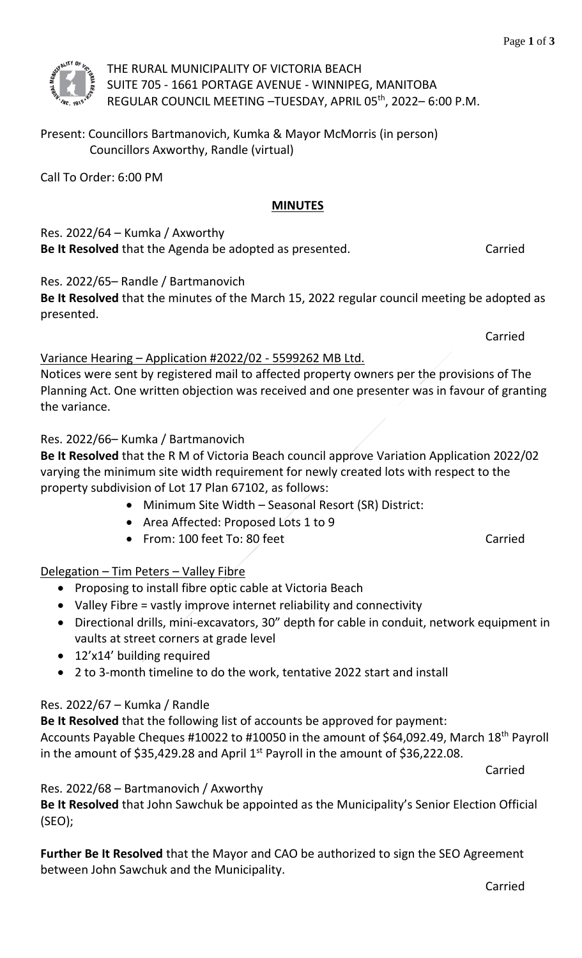

THE RURAL MUNICIPALITY OF VICTORIA BEACH SUITE 705 - 1661 PORTAGE AVENUE - WINNIPEG, MANITOBA REGULAR COUNCIL MEETING –TUESDAY, APRIL 05th, 2022– 6:00 P.M.

Present: Councillors Bartmanovich, Kumka & Mayor McMorris (in person) Councillors Axworthy, Randle (virtual)

Call To Order: 6:00 PM

#### **MINUTES**

Res.  $2022/64$  – Kumka / Axworthy **Be It Resolved** that the Agenda be adopted as presented. Carried

### Res. 2022/65– Randle / Bartmanovich

**Be It Resolved** that the minutes of the March 15, 2022 regular council meeting be adopted as presented.

Carried

#### Variance Hearing – Application #2022/02 - 5599262 MB Ltd.

Notices were sent by registered mail to affected property owners per the provisions of The Planning Act. One written objection was received and one presenter was in favour of granting the variance.

#### Res. 2022/66– Kumka / Bartmanovich

**Be It Resolved** that the R M of Victoria Beach council approve Variation Application 2022/02 varying the minimum site width requirement for newly created lots with respect to the property subdivision of Lot 17 Plan 67102, as follows:

- Minimum Site Width Seasonal Resort (SR) District:
- Area Affected: Proposed Lots 1 to 9
- From: 100 feet To: 80 feet Carried

#### Delegation – Tim Peters – Valley Fibre

- Proposing to install fibre optic cable at Victoria Beach
- Valley Fibre = vastly improve internet reliability and connectivity
- Directional drills, mini-excavators, 30" depth for cable in conduit, network equipment in vaults at street corners at grade level
- 12'x14' building required
- 2 to 3-month timeline to do the work, tentative 2022 start and install

#### Res. 2022/67 – Kumka / Randle

**Be It Resolved** that the following list of accounts be approved for payment:

Accounts Payable Cheques #10022 to #10050 in the amount of \$64,092.49, March 18th Payroll in the amount of \$35,429.28 and April  $1<sup>st</sup>$  Payroll in the amount of \$36,222.08.

Carried

Res. 2022/68 – Bartmanovich / Axworthy

**Be It Resolved** that John Sawchuk be appointed as the Municipality's Senior Election Official (SEO);

**Further Be It Resolved** that the Mayor and CAO be authorized to sign the SEO Agreement between John Sawchuk and the Municipality.

Carried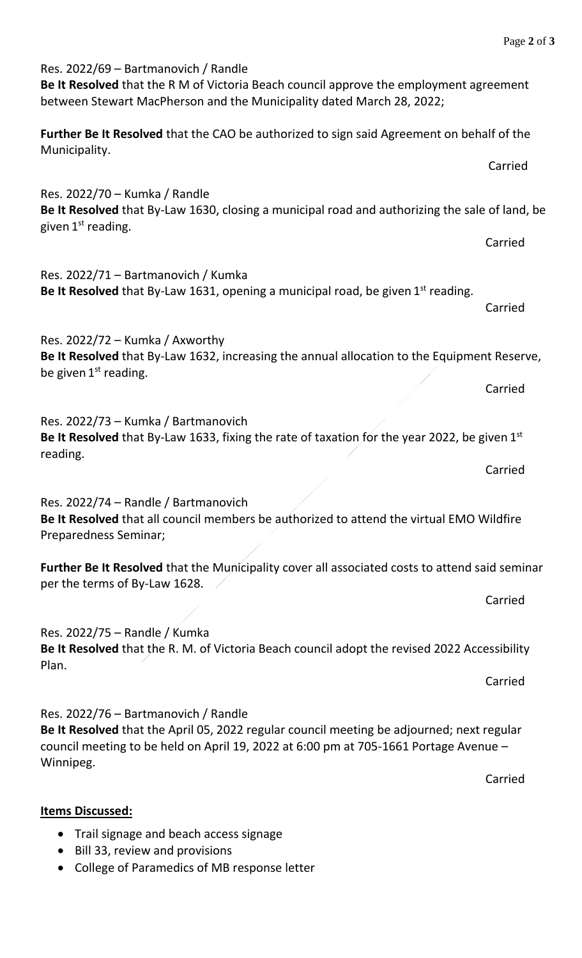| between Stewart MacPherson and the Municipality dated March 28, 2022;                                                                                                                                                                  |         |
|----------------------------------------------------------------------------------------------------------------------------------------------------------------------------------------------------------------------------------------|---------|
| Further Be It Resolved that the CAO be authorized to sign said Agreement on behalf of the<br>Municipality.                                                                                                                             |         |
|                                                                                                                                                                                                                                        | Carried |
| Res. 2022/70 - Kumka / Randle<br>Be It Resolved that By-Law 1630, closing a municipal road and authorizing the sale of land, be<br>given $1st$ reading.                                                                                |         |
|                                                                                                                                                                                                                                        | Carried |
| Res. 2022/71 - Bartmanovich / Kumka<br><b>Be It Resolved</b> that By-Law 1631, opening a municipal road, be given $1^{st}$ reading.                                                                                                    | Carried |
| Res. $2022/72$ – Kumka / Axworthy<br>Be It Resolved that By-Law 1632, increasing the annual allocation to the Equipment Reserve,<br>be given $1st$ reading.                                                                            |         |
|                                                                                                                                                                                                                                        | Carried |
| Res. 2022/73 - Kumka / Bartmanovich<br>Be It Resolved that By-Law 1633, fixing the rate of taxation for the year 2022, be given $1st$<br>reading.                                                                                      |         |
|                                                                                                                                                                                                                                        | Carried |
| Res. 2022/74 - Randle / Bartmanovich<br>Be It Resolved that all council members be authorized to attend the virtual EMO Wildfire<br>Preparedness Seminar;                                                                              |         |
| Further Be It Resolved that the Municipality cover all associated costs to attend said seminar<br>per the terms of By-Law 1628.                                                                                                        |         |
|                                                                                                                                                                                                                                        | Carried |
| Res. 2022/75 - Randle / Kumka<br>Be It Resolved that the R. M. of Victoria Beach council adopt the revised 2022 Accessibility<br>Plan.                                                                                                 |         |
|                                                                                                                                                                                                                                        | Carried |
| Res. 2022/76 - Bartmanovich / Randle<br>Be It Resolved that the April 05, 2022 regular council meeting be adjourned; next regular<br>council meeting to be held on April 19, 2022 at 6:00 pm at 705-1661 Portage Avenue -<br>Winnipeg. |         |

**Be It Resolved** that the R M of Victoria Beach council approve the employment agreement

**Items Discussed:**

- Trail signage and beach access signage
- Bill 33, review and provisions

Res. 2022/69 – Bartmanovich / Randle

• College of Paramedics of MB response letter

Carried